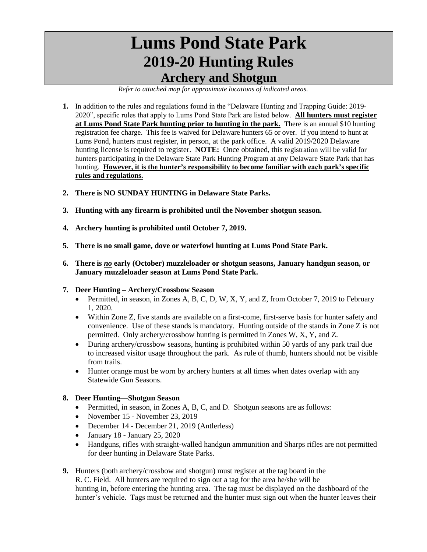## **Lums Pond State Park 2019-20 Hunting Rules Archery and Shotgun**

*Refer to attached map for approximate locations of indicated areas.*

- **1.** In addition to the rules and regulations found in the "Delaware Hunting and Trapping Guide: 2019- 2020", specific rules that apply to Lums Pond State Park are listed below. **All hunters must register at Lums Pond State Park hunting prior to hunting in the park.** There is an annual \$10 hunting registration fee charge. This fee is waived for Delaware hunters 65 or over. If you intend to hunt at Lums Pond, hunters must register, in person, at the park office. A valid 2019/2020 Delaware hunting license is required to register. **NOTE:** Once obtained, this registration will be valid for hunters participating in the Delaware State Park Hunting Program at any Delaware State Park that has hunting. **However, it is the hunter's responsibility to become familiar with each park's specific rules and regulations.**
- **2. There is NO SUNDAY HUNTING in Delaware State Parks.**
- **3. Hunting with any firearm is prohibited until the November shotgun season.**
- **4. Archery hunting is prohibited until October 7, 2019.**
- **5. There is no small game, dove or waterfowl hunting at Lums Pond State Park.**
- **6. There is** *no* **early (October) muzzleloader or shotgun seasons, January handgun season, or January muzzleloader season at Lums Pond State Park.**
- **7. Deer Hunting – Archery/Crossbow Season**
	- Permitted, in season, in Zones A, B, C, D, W, X, Y, and Z, from October 7, 2019 to February 1, 2020.
	- Within Zone Z, five stands are available on a first-come, first-serve basis for hunter safety and convenience. Use of these stands is mandatory. Hunting outside of the stands in Zone Z is not permitted. Only archery/crossbow hunting is permitted in Zones W, X, Y, and Z.
	- During archery/crossbow seasons, hunting is prohibited within 50 yards of any park trail due to increased visitor usage throughout the park. As rule of thumb, hunters should not be visible from trails.
	- Hunter orange must be worn by archery hunters at all times when dates overlap with any Statewide Gun Seasons.
- **8. Deer Hunting—Shotgun Season**
	- Permitted, in season, in Zones A, B, C, and D. Shotgun seasons are as follows:
	- November 15 November 23, 2019
	- December 14 December 21, 2019 (Antlerless)
	- $\bullet$  January 18 January 25, 2020
	- Handguns, rifles with straight-walled handgun ammunition and Sharps rifles are not permitted for deer hunting in Delaware State Parks.
- **9.** Hunters (both archery/crossbow and shotgun) must register at the tag board in the R. C. Field. All hunters are required to sign out a tag for the area he/she will be hunting in, before entering the hunting area. The tag must be displayed on the dashboard of the hunter's vehicle. Tags must be returned and the hunter must sign out when the hunter leaves their